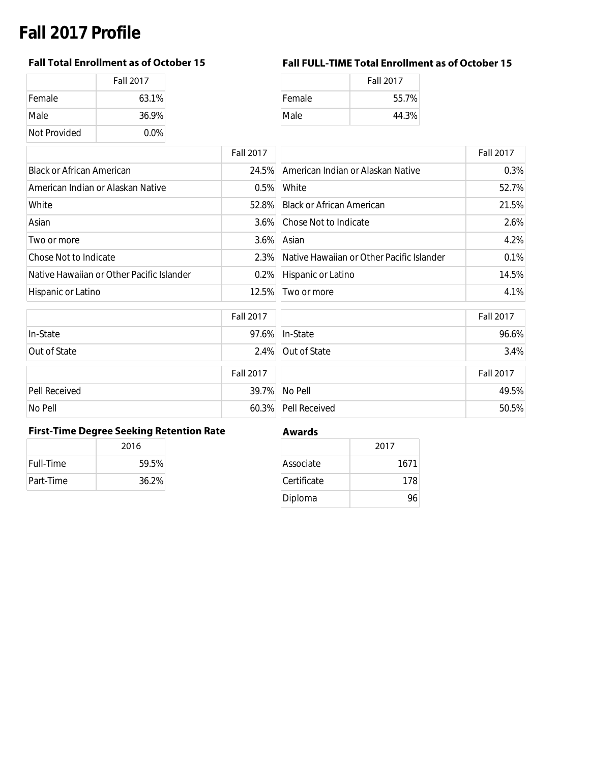# **Fall 2017 Profile**

|               | <b>Fall 2017</b> |  |
|---------------|------------------|--|
| <b>Female</b> | 63.1%            |  |
| Male          | 36.9%            |  |
| Not Provided  | $0.0\%$          |  |

## **Fall Total Enrollment as of October 15 Fall FULL-TIME Total Enrollment as of October 15**

|        | <b>Fall 2017</b> |
|--------|------------------|
| Female | 55.7%            |
| Male   | 44.3%            |

|                                           | <b>Fall 2017</b> |                                           | <b>Fall 2017</b> |
|-------------------------------------------|------------------|-------------------------------------------|------------------|
| <b>Black or African American</b>          | 24.5%            | American Indian or Alaskan Native         | 0.3%             |
| American Indian or Alaskan Native         | $0.5\%$          | White                                     | 52.7%            |
| White                                     | 52.8%            | <b>Black or African American</b>          | 21.5%            |
| Asian                                     | $3.6\%$          | Chose Not to Indicate                     | 2.6%             |
| Two or more                               | $3.6\%$          | <b>Asian</b>                              | 4.2%             |
| Chose Not to Indicate                     | $2.3\%$          | Native Hawaiian or Other Pacific Islander | 0.1%             |
| Native Hawaiian or Other Pacific Islander | $0.2\%$          | Hispanic or Latino                        | 14.5%            |
| Hispanic or Latino                        | 12.5%            | Two or more                               | 4.1%             |
|                                           |                  |                                           |                  |

|               | <b>Fall 2017</b> |                     | <b>Fall 2017</b> |
|---------------|------------------|---------------------|------------------|
| In-State      |                  | 97.6% In-State      | 96.6%            |
| Out of State  |                  | 2.4% Out of State   | 3.4%             |
|               | <b>Fall 2017</b> |                     | <b>Fall 2017</b> |
| Pell Received |                  | 39.7% No Pell       | 49.5%            |
| No Pell       |                  | 60.3% Pell Received | 50.5%            |

### **First-Time Degree Seeking Retention Rate Awards**

| 2016      |       |
|-----------|-------|
| Full-Time | 59.5% |
| Part-Time | 36.2% |

|             | 2017 |
|-------------|------|
| Associate   | 1671 |
| Certificate | 178  |
| Diploma     |      |